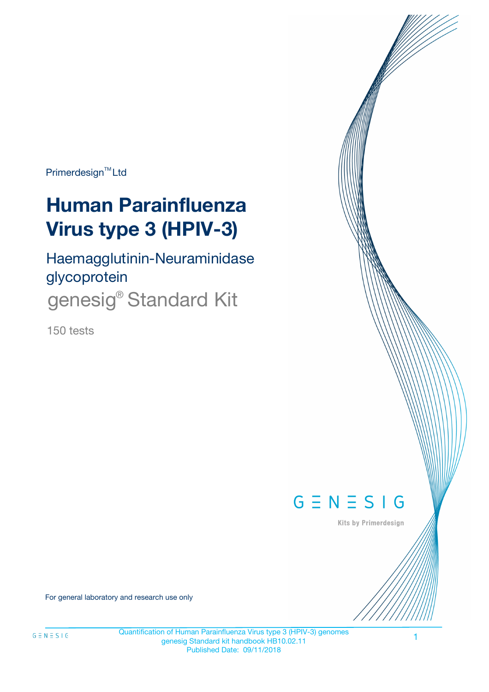Primerdesign<sup>™</sup>Ltd

# **Human Parainfluenza Virus type 3 (HPIV-3)**

Haemagglutinin-Neuraminidase glycoprotein genesig® Standard Kit

150 tests



Kits by Primerdesign

For general laboratory and research use only

1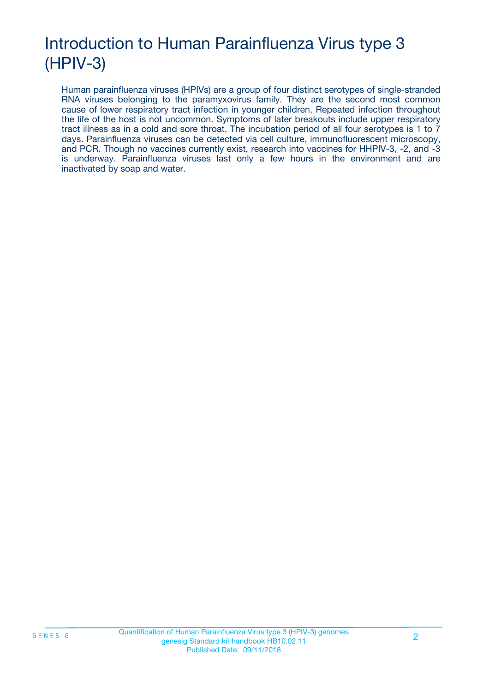## Introduction to Human Parainfluenza Virus type 3 (HPIV-3)

Human parainfluenza viruses (HPIVs) are a group of four distinct serotypes of single-stranded RNA viruses belonging to the paramyxovirus family. They are the second most common cause of lower respiratory tract infection in younger children. Repeated infection throughout the life of the host is not uncommon. Symptoms of later breakouts include upper respiratory tract illness as in a cold and sore throat. The incubation period of all four serotypes is 1 to 7 days. Parainfluenza viruses can be detected via cell culture, immunofluorescent microscopy, and PCR. Though no vaccines currently exist, research into vaccines for HHPIV-3, -2, and -3 is underway. Parainfluenza viruses last only a few hours in the environment and are inactivated by soap and water.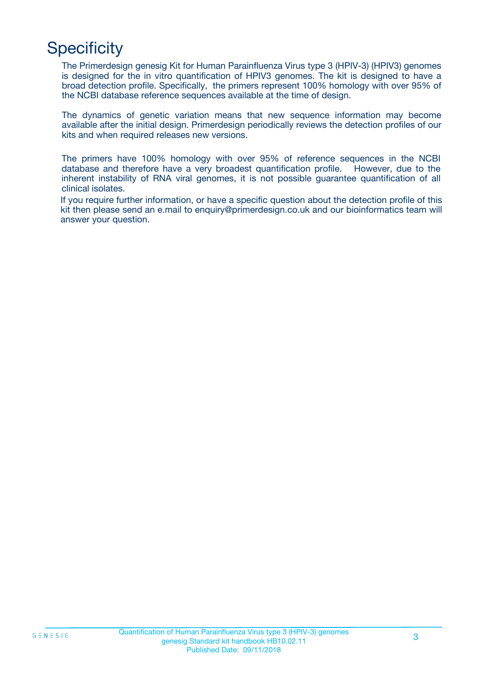## **Specificity**

The Primerdesign genesig Kit for Human Parainfluenza Virus type 3 (HPIV-3) (HPIV3) genomes is designed for the in vitro quantification of HPIV3 genomes. The kit is designed to have a broad detection profile. Specifically, the primers represent 100% homology with over 95% of the NCBI database reference sequences available at the time of design.

The dynamics of genetic variation means that new sequence information may become available after the initial design. Primerdesign periodically reviews the detection profiles of our kits and when required releases new versions.

The primers have 100% homology with over 95% of reference sequences in the NCBI database and therefore have a very broadest quantification profile. However, due to the inherent instability of RNA viral genomes, it is not possible guarantee quantification of all clinical isolates.

If you require further information, or have a specific question about the detection profile of this kit then please send an e.mail to enquiry@primerdesign.co.uk and our bioinformatics team will answer your question.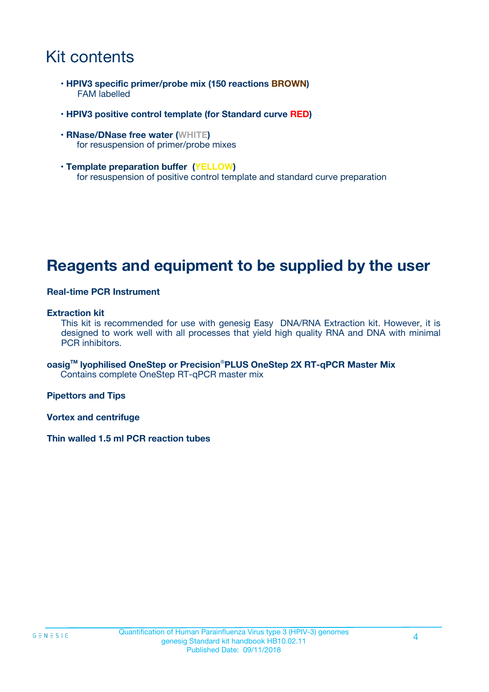### Kit contents

- **HPIV3 specific primer/probe mix (150 reactions BROWN)** FAM labelled
- **HPIV3 positive control template (for Standard curve RED)**
- **RNase/DNase free water (WHITE)** for resuspension of primer/probe mixes
- **Template preparation buffer (YELLOW)** for resuspension of positive control template and standard curve preparation

### **Reagents and equipment to be supplied by the user**

#### **Real-time PCR Instrument**

#### **Extraction kit**

This kit is recommended for use with genesig Easy DNA/RNA Extraction kit. However, it is designed to work well with all processes that yield high quality RNA and DNA with minimal PCR inhibitors.

**oasigTM lyophilised OneStep or Precision**®**PLUS OneStep 2X RT-qPCR Master Mix** Contains complete OneStep RT-qPCR master mix

**Pipettors and Tips**

**Vortex and centrifuge**

**Thin walled 1.5 ml PCR reaction tubes**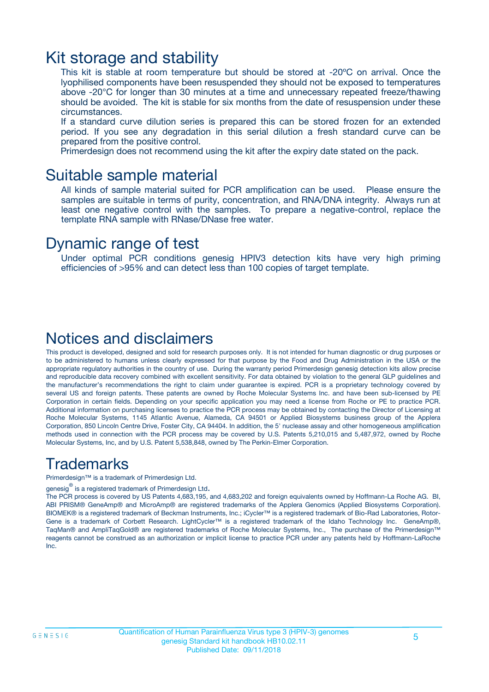### Kit storage and stability

This kit is stable at room temperature but should be stored at -20ºC on arrival. Once the lyophilised components have been resuspended they should not be exposed to temperatures above -20°C for longer than 30 minutes at a time and unnecessary repeated freeze/thawing should be avoided. The kit is stable for six months from the date of resuspension under these circumstances.

If a standard curve dilution series is prepared this can be stored frozen for an extended period. If you see any degradation in this serial dilution a fresh standard curve can be prepared from the positive control.

Primerdesign does not recommend using the kit after the expiry date stated on the pack.

### Suitable sample material

All kinds of sample material suited for PCR amplification can be used. Please ensure the samples are suitable in terms of purity, concentration, and RNA/DNA integrity. Always run at least one negative control with the samples. To prepare a negative-control, replace the template RNA sample with RNase/DNase free water.

### Dynamic range of test

Under optimal PCR conditions genesig HPIV3 detection kits have very high priming efficiencies of >95% and can detect less than 100 copies of target template.

### Notices and disclaimers

This product is developed, designed and sold for research purposes only. It is not intended for human diagnostic or drug purposes or to be administered to humans unless clearly expressed for that purpose by the Food and Drug Administration in the USA or the appropriate regulatory authorities in the country of use. During the warranty period Primerdesign genesig detection kits allow precise and reproducible data recovery combined with excellent sensitivity. For data obtained by violation to the general GLP guidelines and the manufacturer's recommendations the right to claim under guarantee is expired. PCR is a proprietary technology covered by several US and foreign patents. These patents are owned by Roche Molecular Systems Inc. and have been sub-licensed by PE Corporation in certain fields. Depending on your specific application you may need a license from Roche or PE to practice PCR. Additional information on purchasing licenses to practice the PCR process may be obtained by contacting the Director of Licensing at Roche Molecular Systems, 1145 Atlantic Avenue, Alameda, CA 94501 or Applied Biosystems business group of the Applera Corporation, 850 Lincoln Centre Drive, Foster City, CA 94404. In addition, the 5' nuclease assay and other homogeneous amplification methods used in connection with the PCR process may be covered by U.S. Patents 5,210,015 and 5,487,972, owned by Roche Molecular Systems, Inc, and by U.S. Patent 5,538,848, owned by The Perkin-Elmer Corporation.

### Trademarks

Primerdesign™ is a trademark of Primerdesign Ltd.

genesig $^\circledR$  is a registered trademark of Primerdesign Ltd.

The PCR process is covered by US Patents 4,683,195, and 4,683,202 and foreign equivalents owned by Hoffmann-La Roche AG. BI, ABI PRISM® GeneAmp® and MicroAmp® are registered trademarks of the Applera Genomics (Applied Biosystems Corporation). BIOMEK® is a registered trademark of Beckman Instruments, Inc.; iCycler™ is a registered trademark of Bio-Rad Laboratories, Rotor-Gene is a trademark of Corbett Research. LightCycler™ is a registered trademark of the Idaho Technology Inc. GeneAmp®, TaqMan® and AmpliTaqGold® are registered trademarks of Roche Molecular Systems, Inc., The purchase of the Primerdesign™ reagents cannot be construed as an authorization or implicit license to practice PCR under any patents held by Hoffmann-LaRoche Inc.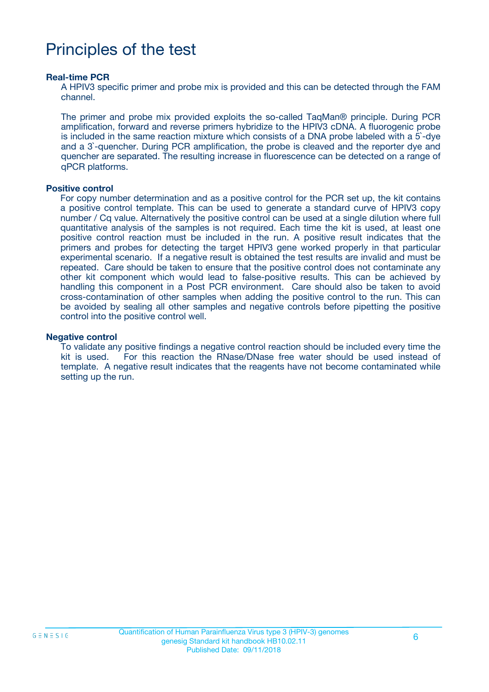## Principles of the test

#### **Real-time PCR**

A HPIV3 specific primer and probe mix is provided and this can be detected through the FAM channel.

The primer and probe mix provided exploits the so-called TaqMan® principle. During PCR amplification, forward and reverse primers hybridize to the HPIV3 cDNA. A fluorogenic probe is included in the same reaction mixture which consists of a DNA probe labeled with a 5`-dye and a 3`-quencher. During PCR amplification, the probe is cleaved and the reporter dye and quencher are separated. The resulting increase in fluorescence can be detected on a range of qPCR platforms.

#### **Positive control**

For copy number determination and as a positive control for the PCR set up, the kit contains a positive control template. This can be used to generate a standard curve of HPIV3 copy number / Cq value. Alternatively the positive control can be used at a single dilution where full quantitative analysis of the samples is not required. Each time the kit is used, at least one positive control reaction must be included in the run. A positive result indicates that the primers and probes for detecting the target HPIV3 gene worked properly in that particular experimental scenario. If a negative result is obtained the test results are invalid and must be repeated. Care should be taken to ensure that the positive control does not contaminate any other kit component which would lead to false-positive results. This can be achieved by handling this component in a Post PCR environment. Care should also be taken to avoid cross-contamination of other samples when adding the positive control to the run. This can be avoided by sealing all other samples and negative controls before pipetting the positive control into the positive control well.

#### **Negative control**

To validate any positive findings a negative control reaction should be included every time the kit is used. For this reaction the RNase/DNase free water should be used instead of template. A negative result indicates that the reagents have not become contaminated while setting up the run.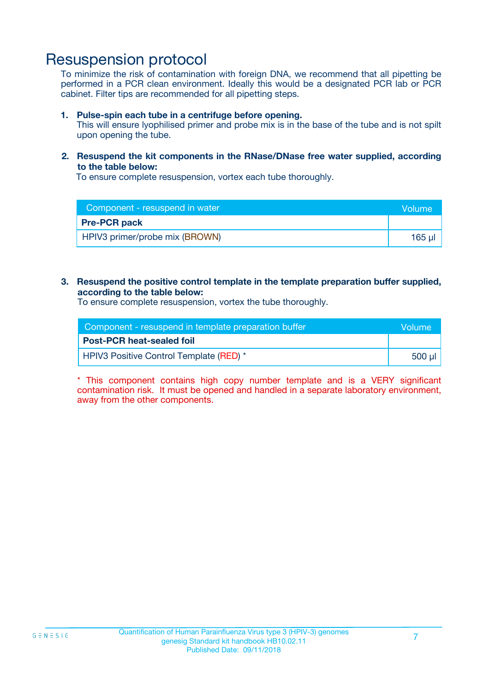### Resuspension protocol

To minimize the risk of contamination with foreign DNA, we recommend that all pipetting be performed in a PCR clean environment. Ideally this would be a designated PCR lab or PCR cabinet. Filter tips are recommended for all pipetting steps.

#### **1. Pulse-spin each tube in a centrifuge before opening.**

This will ensure lyophilised primer and probe mix is in the base of the tube and is not spilt upon opening the tube.

#### **2. Resuspend the kit components in the RNase/DNase free water supplied, according to the table below:**

To ensure complete resuspension, vortex each tube thoroughly.

| Component - resuspend in water | <b>Volume</b> |
|--------------------------------|---------------|
| <b>Pre-PCR pack</b>            |               |
| HPIV3 primer/probe mix (BROWN) | $165$ $\mu$   |

#### **3. Resuspend the positive control template in the template preparation buffer supplied, according to the table below:**

To ensure complete resuspension, vortex the tube thoroughly.

| Component - resuspend in template preparation buffer |          |  |
|------------------------------------------------------|----------|--|
| <b>Post-PCR heat-sealed foil</b>                     |          |  |
| HPIV3 Positive Control Template (RED) *              | ่ 500 µl |  |

\* This component contains high copy number template and is a VERY significant contamination risk. It must be opened and handled in a separate laboratory environment, away from the other components.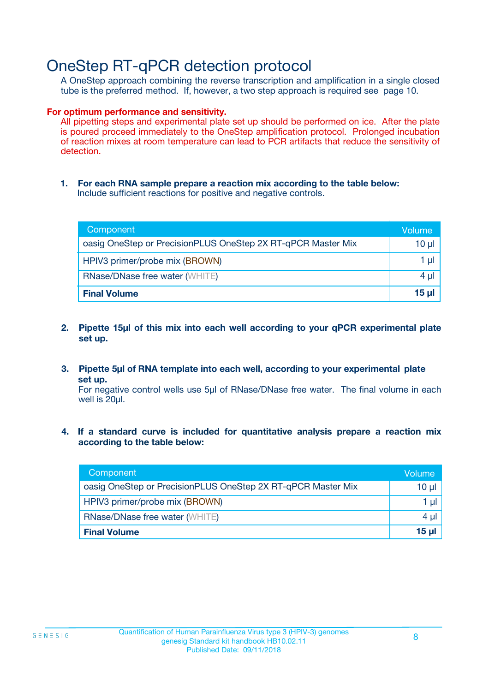### OneStep RT-qPCR detection protocol

A OneStep approach combining the reverse transcription and amplification in a single closed tube is the preferred method. If, however, a two step approach is required see page 10.

#### **For optimum performance and sensitivity.**

All pipetting steps and experimental plate set up should be performed on ice. After the plate is poured proceed immediately to the OneStep amplification protocol. Prolonged incubation of reaction mixes at room temperature can lead to PCR artifacts that reduce the sensitivity of detection.

**1. For each RNA sample prepare a reaction mix according to the table below:** Include sufficient reactions for positive and negative controls.

| Component                                                    | Volume   |
|--------------------------------------------------------------|----------|
| oasig OneStep or PrecisionPLUS OneStep 2X RT-qPCR Master Mix | $10 \mu$ |
| HPIV3 primer/probe mix (BROWN)                               | 1 µl     |
| <b>RNase/DNase free water (WHITE)</b>                        | $4 \mu$  |
| <b>Final Volume</b>                                          | $15$ µ   |

- **2. Pipette 15µl of this mix into each well according to your qPCR experimental plate set up.**
- **3. Pipette 5µl of RNA template into each well, according to your experimental plate set up.**

For negative control wells use 5µl of RNase/DNase free water. The final volume in each well is 20ul.

**4. If a standard curve is included for quantitative analysis prepare a reaction mix according to the table below:**

| Component                                                    | Volume |
|--------------------------------------------------------------|--------|
| oasig OneStep or PrecisionPLUS OneStep 2X RT-qPCR Master Mix | 10 µl  |
| HPIV3 primer/probe mix (BROWN)                               | 1 µl   |
| <b>RNase/DNase free water (WHITE)</b>                        | 4 µl   |
| <b>Final Volume</b>                                          | 15 ul  |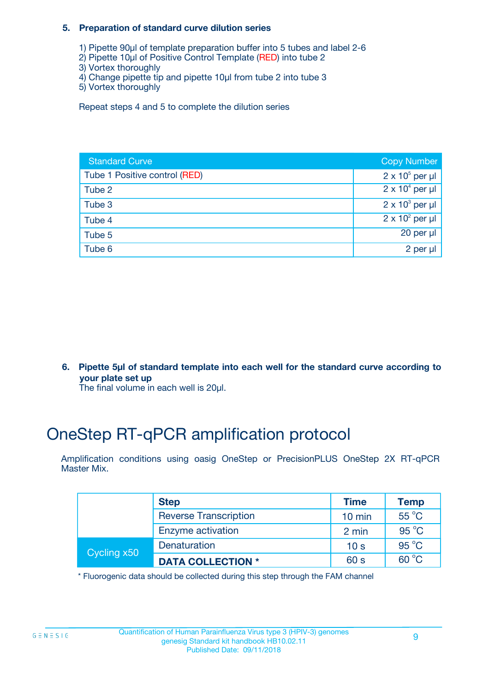#### **5. Preparation of standard curve dilution series**

- 1) Pipette 90µl of template preparation buffer into 5 tubes and label 2-6
- 2) Pipette 10µl of Positive Control Template (RED) into tube 2
- 3) Vortex thoroughly
- 4) Change pipette tip and pipette 10µl from tube 2 into tube 3
- 5) Vortex thoroughly

Repeat steps 4 and 5 to complete the dilution series

| <b>Standard Curve</b>         | <b>Copy Number</b>     |
|-------------------------------|------------------------|
| Tube 1 Positive control (RED) | $2 \times 10^5$ per µl |
| Tube 2                        | $2 \times 10^4$ per µl |
| Tube 3                        | $2 \times 10^3$ per µl |
| Tube 4                        | $2 \times 10^2$ per µl |
| Tube 5                        | 20 per $\mu$           |
| Tube 6                        | 2 per µl               |

**6. Pipette 5µl of standard template into each well for the standard curve according to your plate set up**

The final volume in each well is 20ul.

## OneStep RT-qPCR amplification protocol

Amplification conditions using oasig OneStep or PrecisionPLUS OneStep 2X RT-qPCR Master Mix.

|             | <b>Step</b>                  | <b>Time</b>      | <b>Temp</b>    |
|-------------|------------------------------|------------------|----------------|
|             | <b>Reverse Transcription</b> | $10 \text{ min}$ | 55 °C          |
|             | Enzyme activation            | 2 min            | $95^{\circ}$ C |
| Cycling x50 | Denaturation                 | 10 <sub>s</sub>  | $95^{\circ}$ C |
|             | <b>DATA COLLECTION *</b>     | 60 s             | $60^{\circ}$ C |

\* Fluorogenic data should be collected during this step through the FAM channel